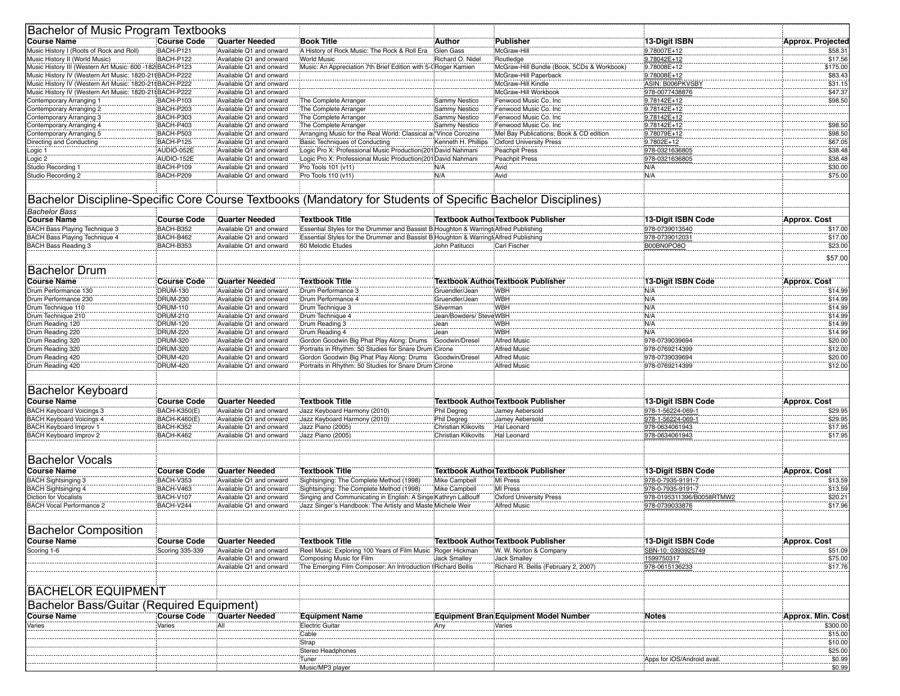| <b>Bachelor of Music Program Textbooks</b>               |                    |                                                    |                                                                                                              |                         |                                              |                           |                          |
|----------------------------------------------------------|--------------------|----------------------------------------------------|--------------------------------------------------------------------------------------------------------------|-------------------------|----------------------------------------------|---------------------------|--------------------------|
| <b>Course Name</b>                                       | <b>Course Code</b> | <b>Quarter Needed</b>                              | <b>Book Title</b>                                                                                            | Author                  | Publisher                                    | 13-Digit ISBN             | <b>Approx. Projected</b> |
| Music History I (Roots of Rock and Roll)                 | BACH-P121          | Available Q1 and onward                            | A History of Rock Music: The Rock & Roll Era                                                                 | Glen Gass               | McGraw-Hill                                  | 9.78007E+12               | \$58.31                  |
| Music History II (World Music)                           | BACH-P122          | Available Q1 and onward                            | World Music                                                                                                  | Richard O. Nidel        | Routledge                                    | 9.78042E+12               | \$17.56                  |
| Music History III (Western Art Music: 600 -182 BACH-P123 |                    | Available Q1 and onward                            | Music: An Appreciation 7th Brief Edition with 5-CRoger Kamien                                                |                         | McGraw-Hill Bundle (Book, 5CDs & Workbook)   | 9.78008E+12               | \$175.00                 |
| Music History IV (Western Art Music: 1820-21tBACH-P222   |                    | Available Q1 and onward                            |                                                                                                              |                         | McGraw-Hill Paperback                        | 9.78008E+12               | \$83.43                  |
| Music History IV (Western Art Music: 1820-21tBACH-P222   |                    | Available Q1 and onward                            |                                                                                                              |                         | McGraw-Hill Kindle                           | ASIN: B006PKVSBY          | \$31.15                  |
| Music History IV (Western Art Music: 1820-21t BACH-P222  |                    | Available Q1 and onward                            |                                                                                                              |                         | McGraw-Hill Workbook                         | 978-0077438876            | \$47.37                  |
| Contemporary Arranging 1                                 | BACH-P103          | Available Q1 and onward                            | The Complete Arranger                                                                                        | Sammy Nestico           | Fenwood Music Co. Inc.                       | 9.78142E+12               | \$98.50                  |
| Contemporary Arranging 2                                 | BACH-P203          | Available Q1 and onward                            | The Complete Arranger                                                                                        | Sammy Nestico           | Fenwood Music Co. Inc                        | 9.78142E+12               |                          |
| Contemporary Arranging 3                                 | BACH-P303          | Available Q1 and onward                            | The Complete Arranger                                                                                        | Sammy Nestico           | Fenwood Music Co. Inc                        | 9.78142E+12               |                          |
| Contemporary Arranging 4                                 | BACH-P403          | Available Q1 and onward                            | The Complete Arranger                                                                                        | Sammy Nestico           | Fenwood Music Co. Inc.                       | 9.78142E+12               | \$98.50                  |
| Contemporary Arranging 5                                 | BACH-P503          | Available Q1 and onward                            | Arranging Music for the Real World: Classical al "Vince Corozine                                             |                         | Mel Bay Publications; Book & CD edition      | 9.78079E+12               | \$98.50                  |
| Directing and Conducting                                 | BACH-P125          | Available Q1 and onward                            | Basic Techniques of Conducting                                                                               | Kenneth H. Phillips     | Oxford University Press                      | 9.7802E+12                | \$67.05                  |
| Logic 1                                                  | AUDIO-052E         | Available Q1 and onward                            | Logic Pro X: Professional Music Production(201 David Nahmani                                                 |                         | Peachpit Press                               | 978-0321636805            | \$38.48                  |
| Logic 2                                                  | AUDIO-152E         | Available Q1 and onward                            | Logic Pro X: Professional Music Production(201:David Nahmani<br>Pro Tools 101 (v11)                          |                         | <b>Peachpit Press</b>                        | 978-0321636805            | \$38.48<br>\$30.00       |
| Studio Recording 1                                       | BACH-P109          | Available Q1 and onward                            |                                                                                                              | N/A<br>N/A              | Avid                                         | N/A                       |                          |
| Studio Recording 2                                       | BACH-P209          | Available Q1 and onward                            | Pro Tools 110 (v11)                                                                                          |                         | Avid                                         | N/A                       | \$75.00                  |
|                                                          |                    |                                                    | Bachelor Discipline-Specific Core Course Textbooks (Mandatory for Students of Specific Bachelor Disciplines) |                         |                                              |                           |                          |
| <b>Bachelor Bass</b><br><b>Course Name</b>               | <b>Course Code</b> | <b>Quarter Needed</b>                              | <b>Textbook Title</b>                                                                                        |                         | Textbook AuthorTextbook Publisher            | <b>13-Digit ISBN Code</b> | <b>Approx. Cost</b>      |
| BACH Bass Playing Technique 3                            |                    | Available Q1 and onward                            |                                                                                                              |                         |                                              |                           |                          |
| BACH Bass Playing Technique 4                            | BACH-B352          |                                                    | Essential Styles for the Drummer and Bassist B Houghton & Warringt Alfred Publishing                         |                         |                                              | 978-0739013540            | \$17.00                  |
|                                                          | BACH-B462          | Available Q1 and onward<br>Available Q1 and onward | Essential Styles for the Drummer and Bassist B Houghton & Warringt Alfred Publishing<br>60 Melodic Etudes    | John Patitucci          | Carl Fischer                                 | 978-0739012031            | \$17.00                  |
| <b>BACH Bass Reading 3</b>                               | BACH-B353          |                                                    |                                                                                                              |                         |                                              | B00BN0PO8O                | \$23.00                  |
|                                                          |                    |                                                    |                                                                                                              |                         |                                              |                           | \$57.00                  |
| Bachelor Drum                                            |                    |                                                    |                                                                                                              |                         |                                              |                           |                          |
| <b>Course Name</b>                                       | <b>Course Code</b> | <b>Quarter Needed</b>                              | Textbook Title                                                                                               |                         | Textbook AuthorTextbook Publisher            | 13-Digit ISBN Code        | <b>Approx. Cost</b>      |
| Drum Performance 130                                     | DRUM-130           | Available Q1 and onward                            | Drum Performance 3                                                                                           | Gruendler/Jean          | WBH                                          | N/A                       | \$14.99                  |
| Drum Performance 230                                     | DRUM-230           | Available Q1 and onward                            | Drum Performance 4                                                                                           | Gruendler/Jean          | <b>WBH</b>                                   | N/A                       | \$14.99                  |
| Drum Technique 110                                       | DRUM-110           | Available Q1 and onward                            | Drum Technique 3                                                                                             | Silverman               | <b>WBH</b>                                   | N/A                       | \$14.99                  |
| Drum Technique 210                                       | DRUM-210           | Available Q1 and onward                            | Drum Technique 4                                                                                             | Jean/Bowders/ Steve WBH |                                              | N/A                       | \$14.99                  |
| Drum Reading 120                                         | <b>DRUM-120</b>    | Available Q1 and onward                            | Drum Reading 3                                                                                               | Jean                    | :<br>WBH                                     | N/A                       | \$14.99                  |
| Drum Reading 220                                         | DRUM-220           | Available Q1 and onward                            | Drum Reading 4                                                                                               | Jean                    | :WBH                                         | N/A                       | \$14.99                  |
| Drum Reading 320                                         | DRUM-320           | Available Q1 and onward                            | Gordon Goodwin Big Phat Play Along: Drums                                                                    | :Goodwin/Dresel         | <b>Alfred Music</b>                          | 978-073903969             | \$20.00                  |
| Drum Reading 320                                         | DRUM-320           | Available Q1 and onward                            | Portraits in Rhythm: 50 Studies for Snare Drum                                                               | Cirone                  | Alfred Music                                 | 978-0769214399            | \$12.00                  |
| Drum Reading 420                                         | DRUM-420           | Available Q1 and onward                            | Gordon Goodwin Big Phat Play Along: Drums                                                                    | Goodwin/Dresel          | Alfred Music                                 | 978-0739039694            | \$20.00                  |
| Drum Reading 420                                         | <b>DRUM-420</b>    | Available Q1 and onward                            | Portraits in Rhythm: 50 Studies for Snare Drum                                                               | Cirone                  | <b>Alfred Music</b>                          | 978-0769214399            | \$12.00                  |
|                                                          |                    |                                                    |                                                                                                              |                         |                                              |                           |                          |
| <b>Bachelor Keyboard</b>                                 |                    |                                                    |                                                                                                              |                         |                                              |                           |                          |
| <b>Course Name</b>                                       | <b>Course Code</b> | <b>Quarter Needed</b>                              | Textbook Title                                                                                               |                         | <b>Textbook Author Textbook Publisher</b>    | 13-Digit ISBN Code        | Approx. Cost             |
| <b>BACH Keyboard Voicings 3</b>                          | BACH-K350(E)       | Available Q1 and onward                            | Jazz Keyboard Harmony (2010)                                                                                 | Phil Degreg             | Jamey Aebersold                              | 978-1-56224-069-          | \$29.95                  |
| <b>BACH Keyboard Voicings 4</b>                          | BACH-K460(E)       | Available Q1 and onward                            | Jazz Keyboard Harmony (2010)                                                                                 | Phil Degreg             | Jamey Aebersold                              | 978-1-56224-069-          | \$29.95                  |
| <b>BACH Keyboard Improv 1</b>                            | BACH-K352          | Available Q1 and onward                            | Jazz Piano (2005)                                                                                            | Christian Klikovits     | Hal Leonard                                  | 978-0634061943            | \$17.95                  |
| <b>BACH Keyboard Improv 2</b>                            | BACH-K462          | Available Q1 and onward                            | Jazz Piano (2005)                                                                                            | Christian Klikovits     | Hal Leonard                                  | 978-0634061943            | \$17.95                  |
|                                                          |                    |                                                    |                                                                                                              |                         |                                              |                           |                          |
| Bachelor Vocals                                          |                    |                                                    |                                                                                                              |                         |                                              |                           |                          |
| <b>Course Name</b>                                       | <b>Course Code</b> | <b>Quarter Needed</b>                              | <b>Textbook Title</b>                                                                                        |                         | <b>Textbook Author Textbook Publisher</b>    | 13-Digit ISBN Code        | <b>Approx. Cost</b>      |
| <b>BACH Sightsinging 3</b>                               | BACH-V353          | Available Q1 and onward                            | Sightsinging: The Complete Method (1998)                                                                     | Mike Campbel            | MI Press                                     | 978-0-7935-9191-7         | \$13.59                  |
| <b>BACH Sightsinging 4</b>                               | BACH-V463          | Available Q1 and onward                            | Sightsinging: The Complete Method (1998)                                                                     | Mike Campbell           | MI Press                                     | 978-0-7935-9191-7         | \$13.59                  |
| Diction for Vocalists                                    | BACH-V107          | Available Q1 and onward                            | Singing and Communicating in English: A Singe Kathryn LaBouff                                                |                         | Oxford University Press                      | 978-0195311396/B0058RTMW2 | \$20.21                  |
| <b>BACH Vocal Performance 2</b>                          | BACH-V244          | Available Q1 and onward                            | Jazz Singer's Handbook: The Artisty and Maste Michele Weir                                                   |                         | Alfred Music                                 | 978-0739033876            | \$17.96                  |
|                                                          |                    |                                                    |                                                                                                              |                         |                                              |                           |                          |
| IBachelor Composition                                    |                    |                                                    |                                                                                                              |                         |                                              |                           |                          |
| <b>Course Name</b>                                       | <b>Course Code</b> | <b>Quarter Needed</b>                              | <b>Textbook Title</b>                                                                                        |                         | <b>Textbook Author Textbook Publisher</b>    | 13-Digit ISBN Code        | <b>Approx. Cost</b>      |
| Scoring 1-6                                              | Scoring 335-339    | Available Q1 and onward                            | Reel Music: Exploring 100 Years of Film Music Roger Hickman                                                  |                         | W. W. Norton & Company                       | SBN-10: 0393925749        | \$51.09                  |
|                                                          |                    | Available Q1 and onward                            | Composing Music for Film                                                                                     | <b>Jack Smalley</b>     | Jack Smalley                                 | 1599750317                | \$75.00                  |
|                                                          |                    | Available Q1 and onward                            | The Emerging Film Composer: An Introduction I Richard Bellis                                                 |                         | Richard R. Bellis (February 2, 2007)         | 978-061513623             | \$17.76                  |
|                                                          |                    |                                                    |                                                                                                              |                         |                                              |                           |                          |
| <b>BACHELOR EQUIPMENT</b>                                |                    |                                                    |                                                                                                              |                         |                                              |                           |                          |
| Bachelor Bass/Guitar (Required Equipment)                |                    |                                                    |                                                                                                              |                         |                                              |                           |                          |
| <b>Course Name</b>                                       | <b>Course Code</b> | <b>Quarter Needed</b>                              | <b>Equipment Name</b>                                                                                        |                         | <b>Equipment Bran Equipment Model Number</b> | Notes                     | <b>Approx. Min. Cost</b> |
| Varies                                                   | Varies             | :All                                               | Electric Guitar                                                                                              | Any                     | Varies                                       |                           | \$300.00                 |
|                                                          |                    |                                                    | Cable                                                                                                        |                         |                                              |                           | \$15.00                  |
|                                                          |                    |                                                    | Strap                                                                                                        |                         |                                              |                           | \$10.00                  |
|                                                          |                    |                                                    | Stereo Headphones                                                                                            |                         |                                              |                           | \$25.00                  |
|                                                          |                    |                                                    | Tuner                                                                                                        |                         |                                              | Apps for iOS/Android avai | \$0.99                   |
|                                                          |                    |                                                    | Music/MP3 player                                                                                             |                         |                                              |                           | \$0.99                   |